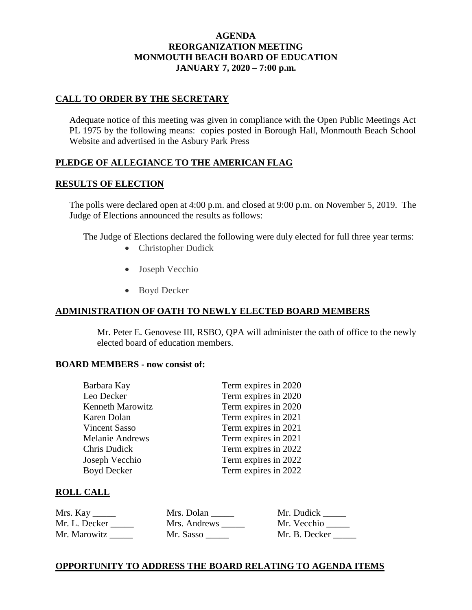### **AGENDA REORGANIZATION MEETING MONMOUTH BEACH BOARD OF EDUCATION JANUARY 7, 2020 – 7:00 p.m.**

## **CALL TO ORDER BY THE SECRETARY**

Adequate notice of this meeting was given in compliance with the Open Public Meetings Act PL 1975 by the following means: copies posted in Borough Hall, Monmouth Beach School Website and advertised in the Asbury Park Press

## **PLEDGE OF ALLEGIANCE TO THE AMERICAN FLAG**

### **RESULTS OF ELECTION**

The polls were declared open at 4:00 p.m. and closed at 9:00 p.m. on November 5, 2019. The Judge of Elections announced the results as follows:

The Judge of Elections declared the following were duly elected for full three year terms:

- Christopher Dudick
- Joseph Vecchio
- Boyd Decker

## **ADMINISTRATION OF OATH TO NEWLY ELECTED BOARD MEMBERS**

Mr. Peter E. Genovese III, RSBO, QPA will administer the oath of office to the newly elected board of education members.

#### **BOARD MEMBERS - now consist of:**

| Barbara Kay             | Term expires in 2020 |
|-------------------------|----------------------|
| Leo Decker              | Term expires in 2020 |
| <b>Kenneth Marowitz</b> | Term expires in 2020 |
| Karen Dolan             | Term expires in 2021 |
| <b>Vincent Sasso</b>    | Term expires in 2021 |
| <b>Melanie Andrews</b>  | Term expires in 2021 |
| Chris Dudick            | Term expires in 2022 |
| Joseph Vecchio          | Term expires in 2022 |
| <b>Boyd Decker</b>      | Term expires in 2022 |
|                         |                      |

### **ROLL CALL**

| Mrs. Kay      | Mrs. Dolan   | Mr. Dudick    |
|---------------|--------------|---------------|
| Mr. L. Decker | Mrs. Andrews | Mr. Vecchio   |
| Mr. Marowitz  | Mr. Sasso    | Mr. B. Decker |

## **OPPORTUNITY TO ADDRESS THE BOARD RELATING TO AGENDA ITEMS**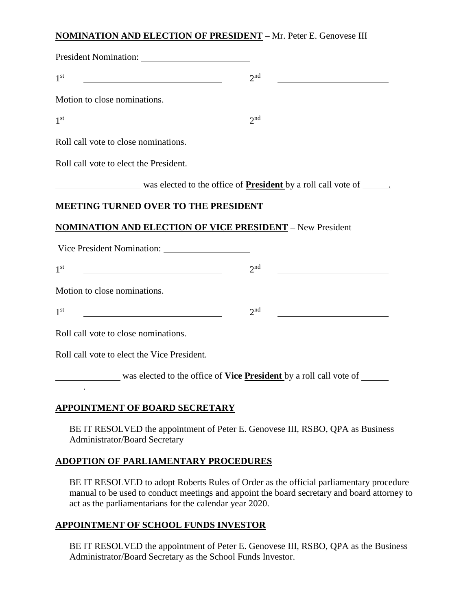## **NOMINATION AND ELECTION OF PRESIDENT –** Mr. Peter E. Genovese III

| 1 <sup>st</sup>                                                      | $2^{nd}$                                                                         |
|----------------------------------------------------------------------|----------------------------------------------------------------------------------|
| Motion to close nominations.                                         |                                                                                  |
| 1 <sup>st</sup>                                                      | $2^{nd}$                                                                         |
| Roll call vote to close nominations.                                 |                                                                                  |
| Roll call vote to elect the President.                               |                                                                                  |
| was elected to the office of <b>President</b> by a roll call vote of |                                                                                  |
| <b>MEETING TURNED OVER TO THE PRESIDENT</b>                          |                                                                                  |
| <b>NOMINATION AND ELECTION OF VICE PRESIDENT - New President</b>     |                                                                                  |
| Vice President Nomination:                                           |                                                                                  |
| 1 <sup>st</sup>                                                      | $2^{nd}$                                                                         |
| Motion to close nominations.                                         |                                                                                  |
| 1 <sup>st</sup>                                                      | $2^{nd}$                                                                         |
| Roll call vote to close nominations.                                 |                                                                                  |
| Roll call vote to elect the Vice President.                          |                                                                                  |
|                                                                      | was elected to the office of <b>Vice <u>President</u></b> by a roll call vote of |
| <b>APPOINTMENT OF BOARD SECRETARY</b>                                |                                                                                  |
|                                                                      | BE IT RESOLVED the appointment of Peter E. Genovese III, RSBO, QPA as Business   |

## **ADOPTION OF PARLIAMENTARY PROCEDURES**

Administrator/Board Secretary

BE IT RESOLVED to adopt Roberts Rules of Order as the official parliamentary procedure manual to be used to conduct meetings and appoint the board secretary and board attorney to act as the parliamentarians for the calendar year 2020.

## **APPOINTMENT OF SCHOOL FUNDS INVESTOR**

BE IT RESOLVED the appointment of Peter E. Genovese III, RSBO, QPA as the Business Administrator/Board Secretary as the School Funds Investor.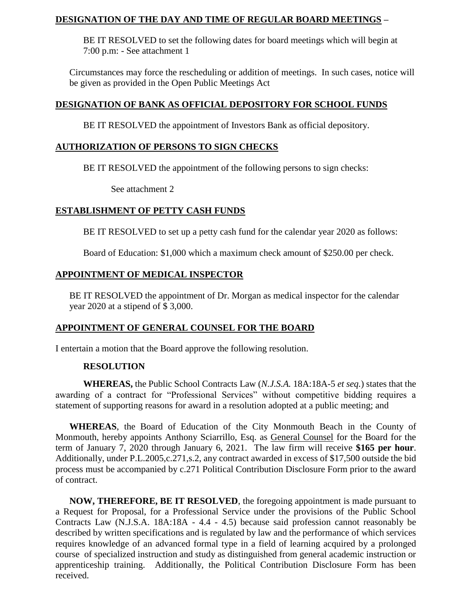### **DESIGNATION OF THE DAY AND TIME OF REGULAR BOARD MEETINGS –**

BE IT RESOLVED to set the following dates for board meetings which will begin at 7:00 p.m: - See attachment 1

Circumstances may force the rescheduling or addition of meetings. In such cases, notice will be given as provided in the Open Public Meetings Act

### **DESIGNATION OF BANK AS OFFICIAL DEPOSITORY FOR SCHOOL FUNDS**

BE IT RESOLVED the appointment of Investors Bank as official depository.

### **AUTHORIZATION OF PERSONS TO SIGN CHECKS**

BE IT RESOLVED the appointment of the following persons to sign checks:

See attachment 2

### **ESTABLISHMENT OF PETTY CASH FUNDS**

BE IT RESOLVED to set up a petty cash fund for the calendar year 2020 as follows:

Board of Education: \$1,000 which a maximum check amount of \$250.00 per check.

### **APPOINTMENT OF MEDICAL INSPECTOR**

BE IT RESOLVED the appointment of Dr. Morgan as medical inspector for the calendar year 2020 at a stipend of \$ 3,000.

### **APPOINTMENT OF GENERAL COUNSEL FOR THE BOARD**

I entertain a motion that the Board approve the following resolution.

### **RESOLUTION**

**WHEREAS,** the Public School Contracts Law (*N.J.S.A.* 18A:18A-5 *et seq.*) states that the awarding of a contract for "Professional Services" without competitive bidding requires a statement of supporting reasons for award in a resolution adopted at a public meeting; and

**WHEREAS**, the Board of Education of the City Monmouth Beach in the County of Monmouth, hereby appoints Anthony Sciarrillo, Esq. as General Counsel for the Board for the term of January 7, 2020 through January 6, 2021. The law firm will receive **\$165 per hour**. Additionally, under P.L.2005,c.271,s.2, any contract awarded in excess of \$17,500 outside the bid process must be accompanied by c.271 Political Contribution Disclosure Form prior to the award of contract.

**NOW, THEREFORE, BE IT RESOLVED**, the foregoing appointment is made pursuant to a Request for Proposal, for a Professional Service under the provisions of the Public School Contracts Law (N.J.S.A. 18A:18A - 4.4 - 4.5) because said profession cannot reasonably be described by written specifications and is regulated by law and the performance of which services requires knowledge of an advanced formal type in a field of learning acquired by a prolonged course of specialized instruction and study as distinguished from general academic instruction or apprenticeship training. Additionally, the Political Contribution Disclosure Form has been received.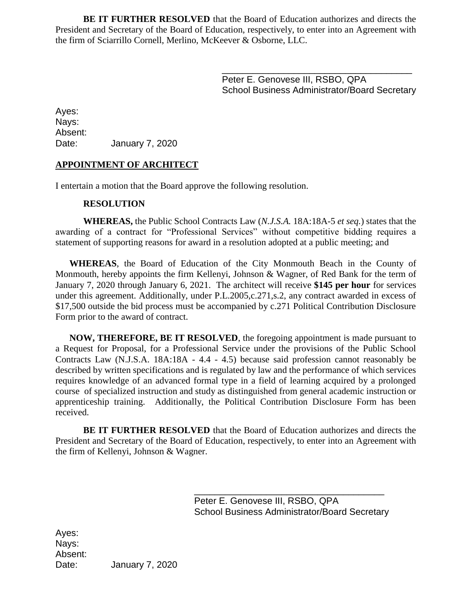**BE IT FURTHER RESOLVED** that the Board of Education authorizes and directs the President and Secretary of the Board of Education, respectively, to enter into an Agreement with the firm of Sciarrillo Cornell, Merlino, McKeever & Osborne, LLC.

> \_\_\_\_\_\_\_\_\_\_\_\_\_\_\_\_\_\_\_\_\_\_\_\_\_\_\_\_\_\_\_\_\_\_\_\_\_ Peter E. Genovese III, RSBO, QPA School Business Administrator/Board Secretary

Ayes: Nays: Absent: Date: January 7, 2020

### **APPOINTMENT OF ARCHITECT**

I entertain a motion that the Board approve the following resolution.

#### **RESOLUTION**

**WHEREAS,** the Public School Contracts Law (*N.J.S.A.* 18A:18A-5 *et seq.*) states that the awarding of a contract for "Professional Services" without competitive bidding requires a statement of supporting reasons for award in a resolution adopted at a public meeting; and

**WHEREAS**, the Board of Education of the City Monmouth Beach in the County of Monmouth, hereby appoints the firm Kellenyi, Johnson & Wagner, of Red Bank for the term of January 7, 2020 through January 6, 2021. The architect will receive **\$145 per hour** for services under this agreement. Additionally, under P.L.2005,c.271,s.2, any contract awarded in excess of \$17,500 outside the bid process must be accompanied by c.271 Political Contribution Disclosure Form prior to the award of contract.

**NOW, THEREFORE, BE IT RESOLVED**, the foregoing appointment is made pursuant to a Request for Proposal, for a Professional Service under the provisions of the Public School Contracts Law (N.J.S.A. 18A:18A - 4.4 - 4.5) because said profession cannot reasonably be described by written specifications and is regulated by law and the performance of which services requires knowledge of an advanced formal type in a field of learning acquired by a prolonged course of specialized instruction and study as distinguished from general academic instruction or apprenticeship training. Additionally, the Political Contribution Disclosure Form has been received.

**BE IT FURTHER RESOLVED** that the Board of Education authorizes and directs the President and Secretary of the Board of Education, respectively, to enter into an Agreement with the firm of Kellenyi, Johnson & Wagner.

> Peter E. Genovese III, RSBO, QPA School Business Administrator/Board Secretary

\_\_\_\_\_\_\_\_\_\_\_\_\_\_\_\_\_\_\_\_\_\_\_\_\_\_\_\_\_\_\_\_\_\_\_\_\_

Ayes: Nays: Absent: Date: January 7, 2020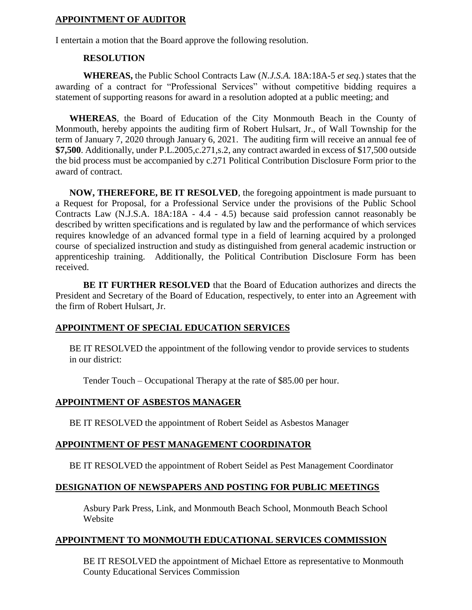### **APPOINTMENT OF AUDITOR**

I entertain a motion that the Board approve the following resolution.

#### **RESOLUTION**

**WHEREAS,** the Public School Contracts Law (*N.J.S.A.* 18A:18A-5 *et seq.*) states that the awarding of a contract for "Professional Services" without competitive bidding requires a statement of supporting reasons for award in a resolution adopted at a public meeting; and

**WHEREAS**, the Board of Education of the City Monmouth Beach in the County of Monmouth, hereby appoints the auditing firm of Robert Hulsart, Jr., of Wall Township for the term of January 7, 2020 through January 6, 2021. The auditing firm will receive an annual fee of **\$7,500**. Additionally, under P.L.2005,c.271,s.2, any contract awarded in excess of \$17,500 outside the bid process must be accompanied by c.271 Political Contribution Disclosure Form prior to the award of contract.

**NOW, THEREFORE, BE IT RESOLVED**, the foregoing appointment is made pursuant to a Request for Proposal, for a Professional Service under the provisions of the Public School Contracts Law (N.J.S.A. 18A:18A - 4.4 - 4.5) because said profession cannot reasonably be described by written specifications and is regulated by law and the performance of which services requires knowledge of an advanced formal type in a field of learning acquired by a prolonged course of specialized instruction and study as distinguished from general academic instruction or apprenticeship training. Additionally, the Political Contribution Disclosure Form has been received.

**BE IT FURTHER RESOLVED** that the Board of Education authorizes and directs the President and Secretary of the Board of Education, respectively, to enter into an Agreement with the firm of Robert Hulsart, Jr.

### **APPOINTMENT OF SPECIAL EDUCATION SERVICES**

BE IT RESOLVED the appointment of the following vendor to provide services to students in our district:

Tender Touch – Occupational Therapy at the rate of \$85.00 per hour.

## **APPOINTMENT OF ASBESTOS MANAGER**

BE IT RESOLVED the appointment of Robert Seidel as Asbestos Manager

## **APPOINTMENT OF PEST MANAGEMENT COORDINATOR**

BE IT RESOLVED the appointment of Robert Seidel as Pest Management Coordinator

## **DESIGNATION OF NEWSPAPERS AND POSTING FOR PUBLIC MEETINGS**

Asbury Park Press, Link, and Monmouth Beach School, Monmouth Beach School **Website** 

## **APPOINTMENT TO MONMOUTH EDUCATIONAL SERVICES COMMISSION**

BE IT RESOLVED the appointment of Michael Ettore as representative to Monmouth County Educational Services Commission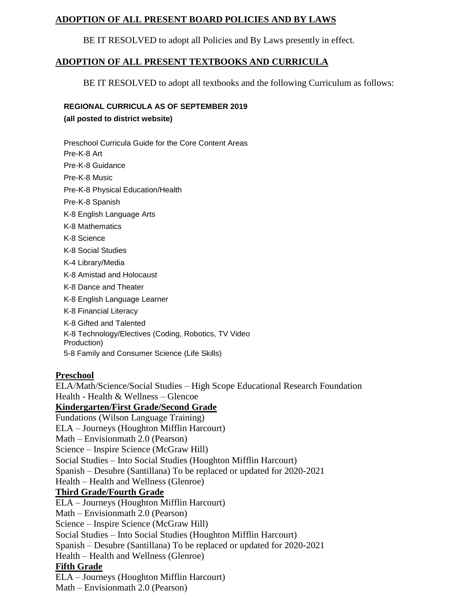## **ADOPTION OF ALL PRESENT BOARD POLICIES AND BY LAWS**

BE IT RESOLVED to adopt all Policies and By Laws presently in effect.

## **ADOPTION OF ALL PRESENT TEXTBOOKS AND CURRICULA**

BE IT RESOLVED to adopt all textbooks and the following Curriculum as follows:

### **REGIONAL CURRICULA AS OF SEPTEMBER 2019**

**(all posted to district website)**

Preschool Curricula Guide for the Core Content Areas Pre-K-8 Art Pre-K-8 Guidance Pre-K-8 Music Pre-K-8 Physical Education/Health Pre-K-8 Spanish K-8 English Language Arts K-8 Mathematics K-8 Science K-8 Social Studies K-4 Library/Media K-8 Amistad and Holocaust K-8 Dance and Theater K-8 English Language Learner K-8 Financial Literacy K-8 Gifted and Talented K-8 Technology/Electives (Coding, Robotics, TV Video Production) 5-8 Family and Consumer Science (Life Skills)

## **Preschool**

ELA/Math/Science/Social Studies – High Scope Educational Research Foundation Health - Health & Wellness – Glencoe **Kindergarten/First Grade/Second Grade** Fundations (Wilson Language Training) ELA – Journeys (Houghton Mifflin Harcourt) Math – Envisionmath 2.0 (Pearson) Science – Inspire Science (McGraw Hill) Social Studies – Into Social Studies (Houghton Mifflin Harcourt) Spanish – Desubre (Santillana) To be replaced or updated for 2020-2021 Health – Health and Wellness (Glenroe) **Third Grade/Fourth Grade** ELA – Journeys (Houghton Mifflin Harcourt) Math – Envisionmath 2.0 (Pearson) Science – Inspire Science (McGraw Hill) Social Studies – Into Social Studies (Houghton Mifflin Harcourt) Spanish – Desubre (Santillana) To be replaced or updated for 2020-2021 Health – Health and Wellness (Glenroe) **Fifth Grade** ELA – Journeys (Houghton Mifflin Harcourt) Math – Envisionmath 2.0 (Pearson)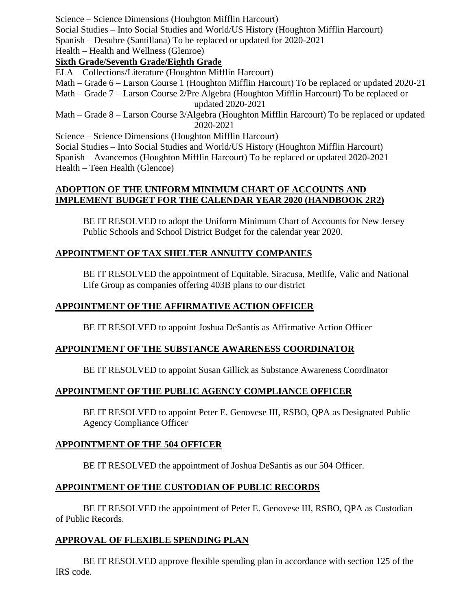Science – Science Dimensions (Houhgton Mifflin Harcourt)

Social Studies – Into Social Studies and World/US History (Houghton Mifflin Harcourt)

Spanish – Desubre (Santillana) To be replaced or updated for 2020-2021

# Health – Health and Wellness (Glenroe)

**Sixth Grade/Seventh Grade/Eighth Grade**

ELA – Collections/Literature (Houghton Mifflin Harcourt)

Math – Grade 6 – Larson Course 1 (Houghton Mifflin Harcourt) To be replaced or updated 2020-21

Math – Grade 7 – Larson Course 2/Pre Algebra (Houghton Mifflin Harcourt) To be replaced or updated 2020-2021

Math – Grade 8 – Larson Course 3/Algebra (Houghton Mifflin Harcourt) To be replaced or updated 2020-2021

Science – Science Dimensions (Houghton Mifflin Harcourt)

Social Studies – Into Social Studies and World/US History (Houghton Mifflin Harcourt) Spanish – Avancemos (Houghton Mifflin Harcourt) To be replaced or updated 2020-2021 Health – Teen Health (Glencoe)

## **ADOPTION OF THE UNIFORM MINIMUM CHART OF ACCOUNTS AND IMPLEMENT BUDGET FOR THE CALENDAR YEAR 2020 (HANDBOOK 2R2)**

BE IT RESOLVED to adopt the Uniform Minimum Chart of Accounts for New Jersey Public Schools and School District Budget for the calendar year 2020.

# **APPOINTMENT OF TAX SHELTER ANNUITY COMPANIES**

BE IT RESOLVED the appointment of Equitable, Siracusa, Metlife, Valic and National Life Group as companies offering 403B plans to our district

# **APPOINTMENT OF THE AFFIRMATIVE ACTION OFFICER**

BE IT RESOLVED to appoint Joshua DeSantis as Affirmative Action Officer

## **APPOINTMENT OF THE SUBSTANCE AWARENESS COORDINATOR**

BE IT RESOLVED to appoint Susan Gillick as Substance Awareness Coordinator

## **APPOINTMENT OF THE PUBLIC AGENCY COMPLIANCE OFFICER**

BE IT RESOLVED to appoint Peter E. Genovese III, RSBO, QPA as Designated Public Agency Compliance Officer

## **APPOINTMENT OF THE 504 OFFICER**

BE IT RESOLVED the appointment of Joshua DeSantis as our 504 Officer.

# **APPOINTMENT OF THE CUSTODIAN OF PUBLIC RECORDS**

BE IT RESOLVED the appointment of Peter E. Genovese III, RSBO, QPA as Custodian of Public Records.

# **APPROVAL OF FLEXIBLE SPENDING PLAN**

BE IT RESOLVED approve flexible spending plan in accordance with section 125 of the IRS code.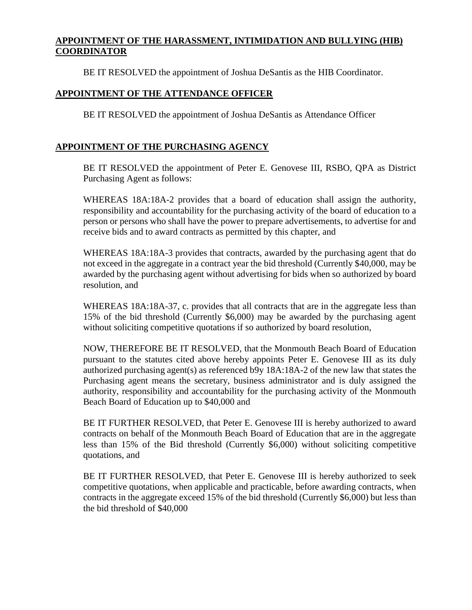### **APPOINTMENT OF THE HARASSMENT, INTIMIDATION AND BULLYING (HIB) COORDINATOR**

BE IT RESOLVED the appointment of Joshua DeSantis as the HIB Coordinator.

### **APPOINTMENT OF THE ATTENDANCE OFFICER**

BE IT RESOLVED the appointment of Joshua DeSantis as Attendance Officer

### **APPOINTMENT OF THE PURCHASING AGENCY**

BE IT RESOLVED the appointment of Peter E. Genovese III, RSBO, QPA as District Purchasing Agent as follows:

WHEREAS 18A:18A-2 provides that a board of education shall assign the authority, responsibility and accountability for the purchasing activity of the board of education to a person or persons who shall have the power to prepare advertisements, to advertise for and receive bids and to award contracts as permitted by this chapter, and

WHEREAS 18A:18A-3 provides that contracts, awarded by the purchasing agent that do not exceed in the aggregate in a contract year the bid threshold (Currently \$40,000, may be awarded by the purchasing agent without advertising for bids when so authorized by board resolution, and

WHEREAS 18A:18A-37, c. provides that all contracts that are in the aggregate less than 15% of the bid threshold (Currently \$6,000) may be awarded by the purchasing agent without soliciting competitive quotations if so authorized by board resolution,

NOW, THEREFORE BE IT RESOLVED, that the Monmouth Beach Board of Education pursuant to the statutes cited above hereby appoints Peter E. Genovese III as its duly authorized purchasing agent(s) as referenced b9y 18A:18A-2 of the new law that states the Purchasing agent means the secretary, business administrator and is duly assigned the authority, responsibility and accountability for the purchasing activity of the Monmouth Beach Board of Education up to \$40,000 and

BE IT FURTHER RESOLVED, that Peter E. Genovese III is hereby authorized to award contracts on behalf of the Monmouth Beach Board of Education that are in the aggregate less than 15% of the Bid threshold (Currently \$6,000) without soliciting competitive quotations, and

BE IT FURTHER RESOLVED, that Peter E. Genovese III is hereby authorized to seek competitive quotations, when applicable and practicable, before awarding contracts, when contracts in the aggregate exceed 15% of the bid threshold (Currently \$6,000) but less than the bid threshold of \$40,000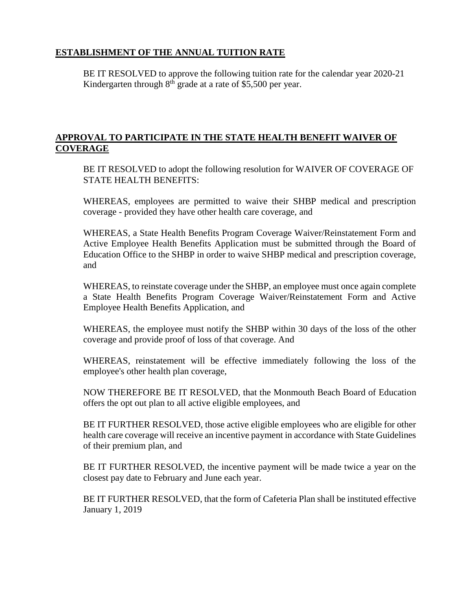## **ESTABLISHMENT OF THE ANNUAL TUITION RATE**

BE IT RESOLVED to approve the following tuition rate for the calendar year 2020-21 Kindergarten through  $8<sup>th</sup>$  grade at a rate of \$5,500 per year.

## **APPROVAL TO PARTICIPATE IN THE STATE HEALTH BENEFIT WAIVER OF COVERAGE**

BE IT RESOLVED to adopt the following resolution for WAIVER OF COVERAGE OF STATE HEALTH BENEFITS:

WHEREAS, employees are permitted to waive their SHBP medical and prescription coverage - provided they have other health care coverage, and

WHEREAS, a State Health Benefits Program Coverage Waiver/Reinstatement Form and Active Employee Health Benefits Application must be submitted through the Board of Education Office to the SHBP in order to waive SHBP medical and prescription coverage, and

WHEREAS, to reinstate coverage under the SHBP, an employee must once again complete a State Health Benefits Program Coverage Waiver/Reinstatement Form and Active Employee Health Benefits Application, and

WHEREAS, the employee must notify the SHBP within 30 days of the loss of the other coverage and provide proof of loss of that coverage. And

WHEREAS, reinstatement will be effective immediately following the loss of the employee's other health plan coverage,

NOW THEREFORE BE IT RESOLVED, that the Monmouth Beach Board of Education offers the opt out plan to all active eligible employees, and

BE IT FURTHER RESOLVED, those active eligible employees who are eligible for other health care coverage will receive an incentive payment in accordance with State Guidelines of their premium plan, and

BE IT FURTHER RESOLVED, the incentive payment will be made twice a year on the closest pay date to February and June each year.

BE IT FURTHER RESOLVED, that the form of Cafeteria Plan shall be instituted effective January 1, 2019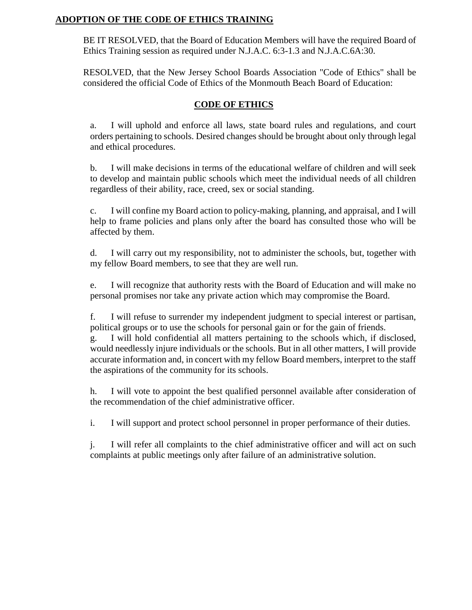## **ADOPTION OF THE CODE OF ETHICS TRAINING**

BE IT RESOLVED, that the Board of Education Members will have the required Board of Ethics Training session as required under N.J.A.C. 6:3-1.3 and N.J.A.C.6A:30.

RESOLVED, that the New Jersey School Boards Association "Code of Ethics" shall be considered the official Code of Ethics of the Monmouth Beach Board of Education:

### **CODE OF ETHICS**

a. I will uphold and enforce all laws, state board rules and regulations, and court orders pertaining to schools. Desired changes should be brought about only through legal and ethical procedures.

b. I will make decisions in terms of the educational welfare of children and will seek to develop and maintain public schools which meet the individual needs of all children regardless of their ability, race, creed, sex or social standing.

c. I will confine my Board action to policy-making, planning, and appraisal, and I will help to frame policies and plans only after the board has consulted those who will be affected by them.

d. I will carry out my responsibility, not to administer the schools, but, together with my fellow Board members, to see that they are well run.

e. I will recognize that authority rests with the Board of Education and will make no personal promises nor take any private action which may compromise the Board.

f. I will refuse to surrender my independent judgment to special interest or partisan, political groups or to use the schools for personal gain or for the gain of friends.

g. I will hold confidential all matters pertaining to the schools which, if disclosed, would needlessly injure individuals or the schools. But in all other matters, I will provide accurate information and, in concert with my fellow Board members, interpret to the staff the aspirations of the community for its schools.

h. I will vote to appoint the best qualified personnel available after consideration of the recommendation of the chief administrative officer.

i. I will support and protect school personnel in proper performance of their duties.

j. I will refer all complaints to the chief administrative officer and will act on such complaints at public meetings only after failure of an administrative solution.